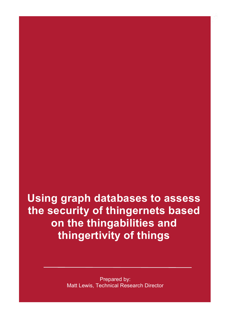**Using graph databases to assess the security of thingernets based on the thingabilities and thingertivity of things**

> Prepared by: Matt Lewis, Technical Research Director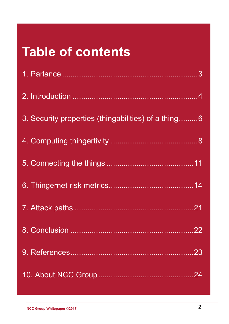## **Table of contents**

| 3. Security properties (thingabilities) of a thing6 |
|-----------------------------------------------------|
|                                                     |
|                                                     |
|                                                     |
|                                                     |
|                                                     |
|                                                     |
|                                                     |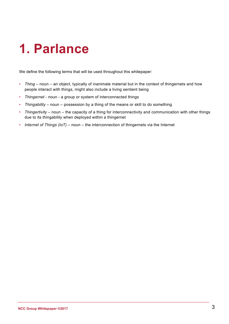## **1. Parlance**

We define the following terms that will be used throughout this whitepaper:

- *Thing* noun an object, typically of inanimate material but in the context of thingernets and how people interact with things, might also include a living sentient being
- *Thingernet* noun a group or system of interconnected things
- *Thingability* noun possession by a thing of the means or skill to do something
- *Thingertivity* noun the capacity of a thing for interconnectivity and communication with other things due to its thingability when deployed within a thingernet
- *Internet of Things (IoT)* noun the interconnection of thingernets via the Internet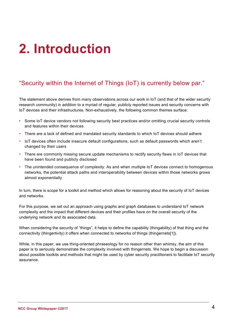## **2. Introduction**

### "Security within the Internet of Things (IoT) is currently below par."

The statement above derives from many observations across our work in IoT (and that of the wider security research community) in addition to a myriad of regular, publicly reported issues and security concerns with IoT devices and their infrastructures. Non-exhaustively, the following common themes surface:

- Some IoT device vendors not following security best practices and/or omitting crucial security controls and features within their devices
- There are a lack of defined and mandated security standards to which IoT devices should adhere
- IoT devices often include insecure default configurations, such as default passwords which aren't changed by their users
- There are commonly missing secure update mechanisms to rectify security flaws in IoT devices that have been found and publicly disclosed
- The unintended consequence of complexity: As and when multiple IoT devices connect to homogenous networks, the potential attack paths and interoperability between devices within those networks grows almost exponentially

In turn, there is scope for a toolkit and method which allows for reasoning about the security of IoT devices and networks.

For this purpose, we set out an approach using graphs and graph databases to understand IoT network complexity and the impact that different devices and their profiles have on the overall security of the underlying network and its associated data.

When considering the security of "things", it helps to define the capability (thingability) of that thing and the connectivity (thingertivity) it offers when connected to networks of things (thingernets[1]).

While, in this paper, we use thing-oriented phraseology for no reason other than whimsy, the aim of this paper is to seriously demonstrate the complexity involved with thingernets. We hope to begin a discussion about possible toolkits and methods that might be used by cyber security practitioners to facilitate IoT security assurance.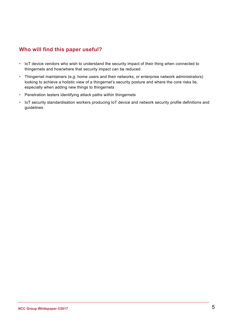### **Who will find this paper useful?**

- IoT device vendors who wish to understand the security impact of their thing when connected to thingernets and how/where that security impact can be reduced
- Thingernet maintainers (e.g. home users and their networks, or enterprise network administrators) looking to achieve a holistic view of a thingernet's security posture and where the core risks lie, especially when adding new things to thingernets
- Penetration testers identifying attack paths within thingernets
- IoT security standardisation workers producing IoT device and network security profile definitions and guidelines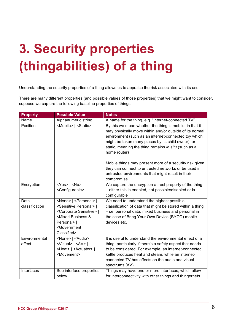# **3. Security properties (thingabilities) of a thing**

Understanding the security properties of a thing allows us to appraise the risk associated with its use.

There are many different properties (and possible values of those properties) that we might want to consider, suppose we capture the following baseline properties of things:

| <b>Property</b>         | <b>Possible Value</b>                                                                                                                                                                                                                | <b>Notes</b>                                                                                                                                                                                                                                                                                              |
|-------------------------|--------------------------------------------------------------------------------------------------------------------------------------------------------------------------------------------------------------------------------------|-----------------------------------------------------------------------------------------------------------------------------------------------------------------------------------------------------------------------------------------------------------------------------------------------------------|
| Name                    | Alphanumeric string                                                                                                                                                                                                                  | A name for the thing, e.g. "internet-connected TV"                                                                                                                                                                                                                                                        |
| Position                | <mobile>   <static></static></mobile>                                                                                                                                                                                                | By this we mean whether the thing is mobile, in that it<br>may physically move within and/or outside of its normal<br>environment (such as an internet-connected toy which<br>might be taken many places by its child owner), or<br>static, meaning the thing remains in situ (such as a<br>home router)  |
|                         |                                                                                                                                                                                                                                      | Mobile things may present more of a security risk given<br>they can connect to untrusted networks or be used in<br>untrusted environments that might result in their<br>compromise                                                                                                                        |
| Encryption              | $<$ Yes>   $<$ No>  <br><configurable></configurable>                                                                                                                                                                                | We capture the encryption at rest property of the thing<br>- either this is enabled, not possible/disabled or is<br>configurable                                                                                                                                                                          |
| Data<br>classification  | <none>   <personal>  <br/><sensitive personal="">  <br/><corporate sensitive="">  <br/><mixed &<br="" business="">Personal&gt;  <br/><government<br>Classified&gt;</government<br></mixed></corporate></sensitive></personal></none> | We need to understand the highest possible<br>classification of data that might be stored within a thing<br>- i.e. personal data, mixed business and personal in<br>the case of Bring Your Own Device (BYOD) mobile<br>devices etc.                                                                       |
| Environmental<br>effect | <none>   <audio>  <br/><visual>   <av>  <br/><heat>   <actuator>  <br/><movement></movement></actuator></heat></av></visual></audio></none>                                                                                          | It is useful to understand the environmental effect of a<br>thing, particularly if there's a safety aspect that needs<br>to be considered. For example, an internet-connected<br>kettle produces heat and steam, while an internet-<br>connected TV has effects on the audio and visual<br>spectrums (AV) |
| Interfaces              | See interface properties<br>below                                                                                                                                                                                                    | Things may have one or more interfaces, which allow<br>for interconnectivity with other things and thingernets                                                                                                                                                                                            |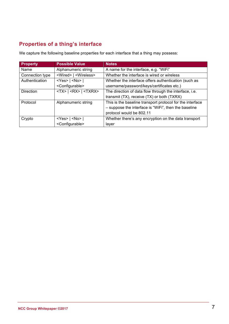### **Properties of a thing's interface**

We capture the following baseline properties for each interface that a thing may possess:

| <b>Property</b>  | <b>Possible Value</b>                   | <b>Notes</b>                                              |
|------------------|-----------------------------------------|-----------------------------------------------------------|
| Name             | Alphanumeric string                     | A name for the interface, e.g. "WiFi"                     |
| Connection type  | <wired>   <wireless></wireless></wired> | Whether the interface is wired or wireless                |
| Authentication   | $<$ Yes>   $<$ No>                      | Whether the interface offers authentication (such as      |
|                  | <configurable></configurable>           | username/password/keys/certificates etc.)                 |
| <b>Direction</b> | $<$ TX>   <rx>   <txrx></txrx></rx>     | The direction of data flow through the interface, i.e.    |
|                  |                                         | transmit (TX), receive (TX) or both (TXRX)                |
| Protocol         | Alphanumeric string                     | This is the baseline transport protocol for the interface |
|                  |                                         | - suppose the interface is "WiFi", then the baseline      |
|                  |                                         | protocol would be 802.11                                  |
| Crypto           | $<$ Yes>   $<$ No>                      | Whether there's any encryption on the data transport      |
|                  | <configurable></configurable>           | layer                                                     |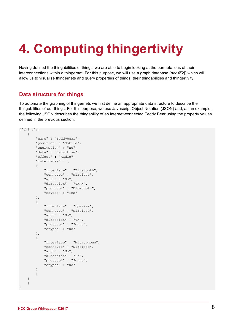# **4. Computing thingertivity**

Having defined the thingabilities of things, we are able to begin looking at the permutations of their interconnections within a thingernet. For this purpose, we will use a graph database (*neo4j*[2]) which will allow us to visualise thingernets and query properties of things, their thingabilities and thingertivity.

### **Data structure for things**

To automate the graphing of thingernets we first define an appropriate data structure to describe the thingabilities of our things. For this purpose, we use Javascript Object Notation (JSON) and, as an example, the following JSON describes the thingability of an internet-connected Teddy Bear using the property values defined in the previous section:

```
{"thing":[
     {
         "name" : "Teddybear",
         "position" : "Mobile",
         "encryption" : "No",
         "data" : "Sensitive",
         "effect" : "Audio",
         "interfaces" : [
         {
             "interface" : "Bluetooth",
             "conntype" : "Wireless",
             "auth" : "No",
            "direction" : "TXRX",
             "protocol" : "Bluetooth",
             "crypto" : "Yes"
         },
\{ "interface" : "Speaker",
             "conntype" : "Wireless",
             "auth" : "No",
            "direction" : "TX",
             "protocol" : "Sound",
             "crypto" : "No"
         },
         {
             "interface" : "Microphone",
             "conntype" : "Wireless",
             "auth" : "No",
             "direction" : "RX",
             "protocol" : "Sound",
             "crypto" : "No"
 }
 ]
     }
     ]
}
```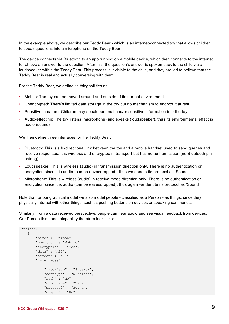In the example above, we describe our Teddy Bear - which is an internet-connected toy that allows children to speak questions into a microphone on the Teddy Bear.

The device connects via Bluetooth to an app running on a mobile device, which then connects to the internet to retrieve an answer to the question. After this, the question's answer is spoken back to the child via a loudspeaker within the Teddy Bear. This process is invisible to the child, and they are led to believe that the Teddy Bear is real and actually conversing with them.

For the Teddy Bear, we define its thingabilities as:

- Mobile: The toy can be moved around and outside of its normal environment
- Unencrypted: There's limited data storage in the toy but no mechanism to encrypt it at rest
- Sensitive in nature: Children may speak personal and/or sensitive information into the toy
- Audio-effecting: The toy listens (microphone) and speaks (loudspeaker), thus its environmental effect is audio (sound)

We then define three interfaces for the Teddy Bear:

- Bluetooth: This is a bi-directional link between the toy and a mobile handset used to send queries and receive responses. It is wireless and encrypted in transport but has no authentication (no Bluetooth pin pairing)
- Loudspeaker: This is wireless (audio) in transmission direction only. There is no authentication or encryption since it is audio (can be eavesdropped), thus we denote its protocol as 'Sound'
- Microphone: This is wireless (audio) in receive mode direction only. There is no authentication or encryption since it is audio (can be eavesdropped), thus again we denote its protocol as 'Sound'

Note that for our graphical model we also model people - classified as a Person - as things, since they physically interact with other things, such as pushing buttons on devices or speaking commands.

Similarly, from a data received perspective, people can hear audio and see visual feedback from devices. Our Person thing and thingability therefore looks like:

```
{"thing":[
         {
                   "name" : "Person",
                   "position" : "Mobile",
                   "encryption" : "Yes",
                   "data" : "All",
                   "effect" : "All",
                   "interfaces" : [
\left\{ \begin{array}{cc} 0 & 0 & 0 \\ 0 & 0 & 0 \\ 0 & 0 & 0 \\ 0 & 0 & 0 \\ 0 & 0 & 0 \\ 0 & 0 & 0 \\ 0 & 0 & 0 \\ 0 & 0 & 0 \\ 0 & 0 & 0 \\ 0 & 0 & 0 \\ 0 & 0 & 0 \\ 0 & 0 & 0 \\ 0 & 0 & 0 & 0 \\ 0 & 0 & 0 & 0 \\ 0 & 0 & 0 & 0 \\ 0 & 0 & 0 & 0 & 0 \\ 0 & 0 & 0 & 0 & 0 \\ 0 & 0 & 0 & 0 & 0 \\ 0 & 0 & 0 & 0 & 0 \\ 0 & 0 "interface" : "Speaker",
                             "conntype" : "Wireless",
                            "auth" : "No",
                            "direction" : "TX",
                             "protocol" : "Sound",
                             "crypto" : "No"
```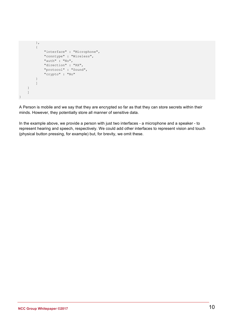```
 },
          {
              "interface" : "Microphone",
              "conntype" : "Wireless",
              "auth" : "No",
              "direction" : "RX",
              "protocol" : "Sound",
              "crypto" : "No"
         }
         ]
     }
     ]
}
```
A Person is mobile and we say that they are encrypted so far as that they can store secrets within their minds. However, they potentially store all manner of sensitive data.

In the example above, we provide a person with just two interfaces - a microphone and a speaker - to represent hearing and speech, respectively. We could add other interfaces to represent vision and touch (physical button pressing, for example) but, for brevity, we omit these.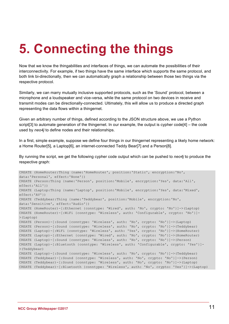# **5. Connecting the things**

Now that we know the thingabilities and interfaces of things, we can automate the possibilities of their interconnectivity. For example, if two things have the same interface which supports the same protocol, and both link bi-directionally, then we can automatically graph a relationship between those two things via the respective protocol.

Similarly, we can marry mutually inclusive supported protocols, such as the 'Sound' protocol, between a microphone and a loudspeaker and vice-versa, while the same protocol on two devices in receive and transmit modes can be directionally-connected. Ultimately, this will allow us to produce a directed graph representing the data flows within a thingernet.

Given an arbitrary number of things, defined according to the JSON structure above, we use a Python script[3] to automate generation of the thingernet. In our example, the output is cypher code[4] – the code used by *neo4j* to define nodes and their relationships.

In a first, simple example, suppose we define four things in our thingernet representing a likely home network: a Home Router[5], a Laptop[6], an internet-connected Teddy Bear[7] and a Person[8].

By running the script, we get the following cypher code output which can be pushed to *neo4j* to produce the respective graph:

```
CREATE (HomeRouter:Thing {name:'HomeRouter', position:'Static', encryption:'No', 
data:'Personal', effect:'None'})
CREATE (Person:Thing {name:'Person', position:'Mobile', encryption:'Yes', data:'All', 
effect:'All'})
CREATE (Laptop:Thing {name:'Laptop', position:'Mobile', encryption:'Yes', data:'Mixed', 
effect:'AV'})
CREATE (Teddybear:Thing {name:'Teddybear', position:'Mobile', encryption:'No', 
data:'Sensitive', effect:'Audio'})
CREATE (HomeRouter)-[:Ethernet {conntype: 'Wired', auth: 'No', crypto: 'No'}]->(Laptop)
CREATE (HomeRouter)-[:WiFi {conntype: 'Wireless', auth: 'Configurable', crypto: 'No'}]-
>(Laptop)
CREATE (Person)-[:Sound {conntype: 'Wireless', auth: 'No', crypto: 'No'}]->(Laptop)
CREATE (Person)-[:Sound {conntype: 'Wireless', auth: 'No', crypto: 'No'}]->(Teddybear)
CREATE (Laptop)-[:WiFi {conntype: 'Wireless', auth: 'Yes', crypto: 'No'}]->(HomeRouter)
CREATE (Laptop)-[:Ethernet {conntype: 'Wired', auth: 'No', crypto: 'No'}]->(HomeRouter)
CREATE (Laptop)-[:Sound {conntype: 'Wireless', auth: 'No', crypto: 'No'}]->(Person)
CREATE (Laptop)-[:Bluetooth {conntype: 'Wireless', auth: 'Configurable', crypto: 'Yes'}]-
>(Teddybear)
CREATE (Laptop)-[:Sound {conntype: 'Wireless', auth: 'No', crypto: 'No'}]->(Teddybear)
CREATE (Teddybear)-[:Sound {conntype: 'Wireless', auth: 'No', crypto: 'No'}]->(Person)
CREATE (Teddybear)-[:Sound {conntype: 'Wireless', auth: 'No', crypto: 'No'}]->(Laptop)
CREATE (Teddybear)-[:Bluetooth {conntype: 'Wireless', auth: 'No', crypto: 'Yes'}]->(Laptop)
```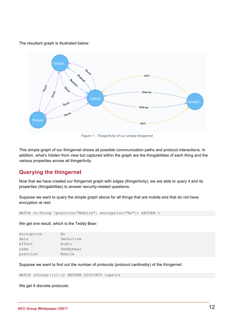The resultant graph is illustrated below:



*Figure 1 - Thingertivity of our simple thingernet*

This simple graph of our thingernet shows all possible communication paths and protocol interactions. In addition, what's hidden from view but captured within the graph are the thingabilities of each thing and the various properties across all thingertivity.

### **Querying the thingernet**

Now that we have created our thingernet graph with edges (thingertivity), we are able to query it and its properties (thingabilities) to answer security-related questions.

Suppose we want to query the simple graph above for all things that are mobile and that do not have encryption at rest:

```
MATCH (t:Thing {position:"Mobile", encryption:"No"}) RETURN t
```
We get one result, which is the Teddy Bear:

| Nο        |
|-----------|
| Sensitive |
| Audio     |
| Teddybear |
| Mobile    |
|           |

Suppose we want to find out the number of protocols (protocol cardinality) of the thingernet:

MATCH (thing)- $[r]$ -() RETURN DISTINCT type(r)

We get 4 discrete protocols: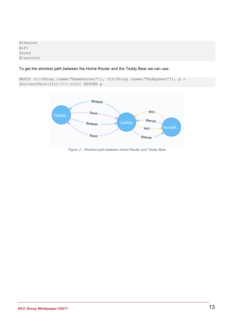Ethernet WiFi Sound Bluetooth

To get the shortest path between the Home Router and the Teddy Bear we can use:

```
MATCH (t1:Thing {name:"HomeRouter"}), (t2:Thing {name:"Teddybear"}), p = 
shortestPath((t1)-[*]-(t2)) RETURN p
```


*Figure 2 - Shortest path between Home Router and Teddy Bear*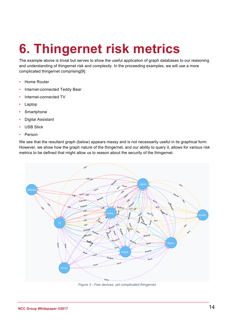# **6. Thingernet risk metrics**

The example above is trivial but serves to show the useful application of graph databases to our reasoning and understanding of thingernet risk and complexity. In the proceeding examples, we will use a more complicated thingernet comprising[9]:

- Home Router
- Internet-connected Teddy Bear
- Internet-connected TV
- Laptop
- Smartphone
- Digital Assistant
- **USB Stick**
- Person

We see that the resultant graph (below) appears messy and is not necessarily useful in its graphical form. However, we show how the graph nature of the thingernet, and our ability to query it, allows for various risk metrics to be defined that might allow us to reason about the security of the thingernet.



*Figure 3 - Few devices, yet complicated thingernet*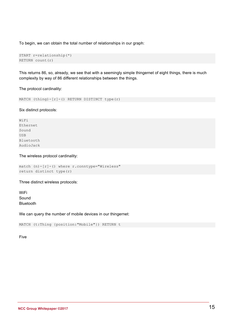To begin, we can obtain the total number of relationships in our graph:

```
START r=relationship(*)
RETURN count(r)
```
This returns 86, so, already, we see that with a seemingly simple thingernet of eight things, there is much complexity by way of 86 different relationships between the things.

The protocol cardinality:

MATCH  $(thing)-(r)-()$  RETURN DISTINCT type(r)

Six distinct protocols:

WiFi Ethernet Sound USB Bluetooth AudioJack

The wireless protocol cardinality:

```
match (n)-[r]-() where r.conntype="Wireless"
return distinct type(r)
```
Three distinct wireless protocols:

WiFi Sound Bluetooth

We can query the number of mobile devices in our thingernet:

MATCH (t:Thing {position:"Mobile"}) RETURN t

Five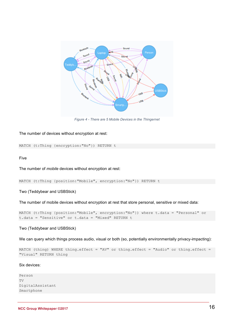

*Figure 4 - There are 5 Mobile Devices in the Thingernet*

#### The number of devices without encryption at rest:

MATCH (t:Thing {encryption:"No"}) RETURN t

#### Five

The number of *mobile* devices without encryption at rest:

```
MATCH (t:Thing {position:"Mobile", encryption:"No"}) RETURN t
```
Two (Teddybear and USBStick)

The number of mobile devices without encryption at rest that store personal, sensitive or mixed data:

```
MATCH (t:Thing {position:"Mobile", encryption:"No"}) where t.data = "Personal" or 
t.data = "Sensitive" or t.data = "Mixed" RETURN t
```
#### Two (Teddybear and USBStick)

We can query which things process audio, visual or both (so, potentially environmentally privacy-impacting):

```
MATCH (thing) WHERE thing.effect = "AV" or thing.effect = "Audio" or thing.effect =
"Visual" RETURN thing
```
#### Six devices:

```
Person
T<sub>T</sub>DigitalAssistant
Smartphone
```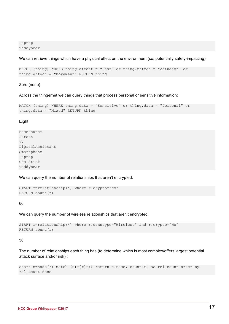Laptop Teddybear

We can retrieve things which have a physical effect on the environment (so, potentially safety-impacting):

```
MATCH (thing) WHERE thing.effect = "Heat" or thing.effect = "Actuator" or 
thing.effect = "Movement" RETURN thing
```
#### Zero (none)

Across the thingernet we can query things that process personal or sensitive information:

```
MATCH (thing) WHERE thing.data = "Sensitive" or thing.data = "Personal" or 
thing.data = "Mixed" RETURN thing
```
#### **Eight**

HomeRouter Person TV DigitalAssistant Smartphone Laptop USB Stick Teddybear

We can query the number of relationships that aren't encrypted:

```
START r=relationship(*) where r.crypto="No"
RETURN count(r)
```
#### 66

We can query the number of wireless relationships that aren't encrypted

```
START r=relationship(*) where r.conntype="Wireless" and r.crypto="No"
RETURN count(r)
```
#### 50

The number of relationships each thing has (to determine which is most complex/offers largest potential attack surface and/or risk) :

```
start n=node(*) match (n)-[r]-() return n.name, count(r) as rel count order by
rel_count desc
```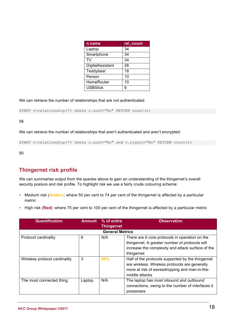| n.name           | rel count |
|------------------|-----------|
| Laptop           | 34        |
| Smartphone       | 34        |
| TV               | 34        |
| DigitalAssistant | 26        |
| Teddybear        | 18        |
| Person           | 10        |
| HomeRouter       | 10        |
| <b>USBStick</b>  | 6         |

We can retrieve the number of relationships that are *not* authenticated:

```
START r=relationship(*) where r.auth="No" RETURN count(r)
```
58

We can retrieve the number of relationships that aren't authenticated and aren't encrypted:

START r=relationship(\*) where r.auth="No" and r.crypto="No" RETURN count(r)

50

### **Thingernet risk profile**

We can summarise output from the queries above to gain an understanding of the thingernet's overall security posture and risk profile. To highlight risk we use a fairly crude colouring scheme:

- Medium risk (**Amber)**: where 50 per cent to 74 per cent of the thingernet is affected by a particular metric
- High risk (**Red**): where 75 per cent to 100 per cent of the thingernet is affected by a particular metric

| <b>Quantification</b>         | <b>Amount</b> | % of entire<br><b>Thingernet</b> | <b>Observation</b>                                                                                                                                                     |  |
|-------------------------------|---------------|----------------------------------|------------------------------------------------------------------------------------------------------------------------------------------------------------------------|--|
| <b>General Metrics</b>        |               |                                  |                                                                                                                                                                        |  |
| Protocol cardinality          | 6             | N/A                              | There are 6 core protocols in operation on the<br>thingernet. A greater number of protocols will<br>increase the complexity and attack surface of the<br>thingernet    |  |
| Wireless protocol cardinality | 3             | 50%                              | Half of the protocols supported by the thingernet<br>are wireless. Wireless protocols are generally<br>more at risk of eavesdropping and man-in-the-<br>middle attacks |  |
| The most connected thing      | Laptop        | N/A                              | The laptop has most inbound and outbound<br>connections, owing to the number of interfaces it<br>possesses                                                             |  |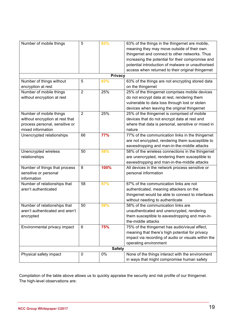| Number of mobile things         | 5              | 63%            | 63% of the things in the thingernet are mobile,     |
|---------------------------------|----------------|----------------|-----------------------------------------------------|
|                                 |                |                | meaning they may move outside of their own          |
|                                 |                |                | thingernet and connect to other networks. Thus      |
|                                 |                |                | increasing the potential for their compromise and   |
|                                 |                |                | potential introduction of malware or unauthorised   |
|                                 |                |                | access when returned to their original thingernet   |
|                                 |                | <b>Privacy</b> |                                                     |
| Number of things without        | 5              | 63%            | 63% of the things are not encrypting stored data    |
| encryption at rest              |                |                | on the thingernet                                   |
| Number of mobile things         | $\overline{2}$ | 25%            | 25% of the thingernet comprises mobile devices      |
| without encryption at rest      |                |                | do not encrypt data at rest, rendering them         |
|                                 |                |                | vulnerable to data loss through lost or stolen      |
|                                 |                |                | devices when leaving the original thingernet        |
| Number of mobile things         | $\overline{2}$ | 25%            | 25% of the thingernet is comprised of mobile        |
| without encryption at rest that |                |                | devices that do not encrypt data at rest and        |
| process personal, sensitive or  |                |                | where that data is personal, sensitive or mixed in  |
| mixed information               |                |                | nature                                              |
| Unencrypted relationships       | 66             | 77%            | 77% of the communication links in the thingernet    |
|                                 |                |                | are not encrypted, rendering them susceptible to    |
|                                 |                |                | eavesdropping and man-in-the-middle attacks         |
| Unencrypted wireless            | 50             | 58%            | 58% of the wireless connections in the thingernet   |
| relationships                   |                |                | are unencrypted, rendering them susceptible to      |
|                                 |                |                | eavesdropping and man-in-the-middle attacks         |
| Number of things that process   | 8              | 100%           | All devices in the network process sensitive or     |
| sensitive or personal           |                |                | personal information                                |
| information                     |                |                |                                                     |
| Number of relationships that    | 58             | 67%            | 67% of the communication links are not              |
| aren't authenticated            |                |                | authenticated, meaning attackers on the             |
|                                 |                |                | thingernet would be able to connect to interfaces   |
|                                 |                |                | without needing to authenticate                     |
| Number of relationships that    | 50             | 58%            | 58% of the communication links are                  |
| aren't authenticated and aren't |                |                | unauthenticated and unencrypted, rendering          |
|                                 |                |                | them susceptible to eavesdropping and man-in-       |
| encrypted                       |                |                | the-middle attacks                                  |
|                                 |                |                |                                                     |
| Environmental privacy impact    | 6              | 75%            | 75% of the thingernet has audio/visual effect,      |
|                                 |                |                | meaning that there's high potential for privacy     |
|                                 |                |                | impact via recording of audio or visuals within the |
|                                 |                |                | operating environment                               |
| <b>Safety</b>                   |                |                |                                                     |
| Physical safety impact          | 0              | 0%             | None of the things interact with the environment    |
|                                 |                |                | in ways that might compromise human safety          |

Compilation of the table above allows us to quickly appraise the security and risk profile of our thingernet. The high-level observations are: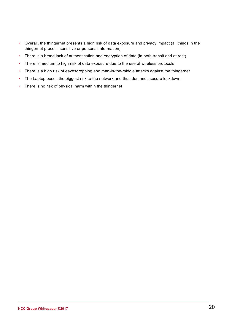- Overall, the thingernet presents a high risk of data exposure and privacy impact (all things in the thingernet process sensitive or personal information)
- There is a broad lack of authentication and encryption of data (in both transit and at rest)
- There is medium to high risk of data exposure due to the use of wireless protocols
- There is a high risk of eavesdropping and man-in-the-middle attacks against the thingernet
- The Laptop poses the biggest risk to the network and thus demands secure lockdown
- There is no risk of physical harm within the thingernet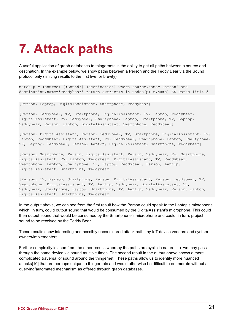## **7. Attack paths**

A useful application of graph databases to thingernets is the ability to get all paths between a source and destination. In the example below, we show paths between a Person and the Teddy Bear via the Sound protocol only (limiting results to the first five for brevity):

match p = (source)-[:Sound\*]-(destination) where source.name='Person' and destination.name='Teddybear' return extract(n in nodes(p)|n.name) AS Paths limit 5

[Person, Laptop, DigitalAssistant, Smartphone, Teddybear]

[Person, Teddybear, TV, Smartphone, DigitalAssistant, TV, Laptop, Teddybear, DigitalAssistant, TV, Teddybear, Smartphone, Laptop, Smartphone, TV, Laptop, Teddybear, Person, Laptop, DigitalAssistant, Smartphone, Teddybear]

[Person, DigitalAssistant, Person, Teddybear, TV, Smartphone, DigitalAssistant, TV, Laptop, Teddybear, DigitalAssistant, TV, Teddybear, Smartphone, Laptop, Smartphone, TV, Laptop, Teddybear, Person, Laptop, DigitalAssistant, Smartphone, Teddybear]

[Person, Smartphone, Person, DigitalAssistant, Person, Teddybear, TV, Smartphone, DigitalAssistant, TV, Laptop, Teddybear, DigitalAssistant, TV, Teddybear, Smartphone, Laptop, Smartphone, TV, Laptop, Teddybear, Person, Laptop, DigitalAssistant, Smartphone, Teddybear]

[Person, TV, Person, Smartphone, Person, DigitalAssistant, Person, Teddybear, TV, Smartphone, DigitalAssistant, TV, Laptop, Teddybear, DigitalAssistant, TV, Teddybear, Smartphone, Laptop, Smartphone, TV, Laptop, Teddybear, Person, Laptop, DigitalAssistant, Smartphone, Teddybear]

In the output above, we can see from the first result how the Person could speak to the Laptop's microphone which, in turn, could output sound that would be consumed by the DigitalAssistant's microphone. This could then output sound that would be consumed by the Smartphone's microphone and could, in turn, project sound to be received by the Teddy Bear.

These results show interesting and possibly unconsidered attack paths by IoT device vendors and system owners/implementers.

Further complexity is seen from the other results whereby the paths are cyclic in nature, i.e. we may pass through the same device via sound multiple times. The second result in the output above shows a more complicated traversal of sound around the thingernet. These paths allow us to identify more nuanced attacks[10] that are perhaps unique to thingernets and would otherwise be difficult to enumerate without a querying/automated mechanism as offered through graph databases.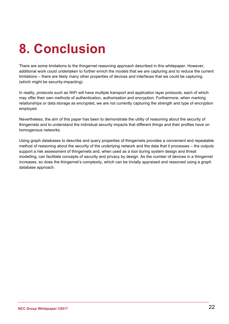# **8. Conclusion**

There are some limitations to the thingernet reasoning approach described in this whitepaper. However, additional work could undertaken to further enrich the models that we are capturing and to reduce the current limitations – there are likely many other properties of devices and interfaces that we could be capturing (which might be security-impacting).

In reality, protocols such as WiFi will have multiple transport and application layer protocols, each of which may offer their own methods of authentication, authorisation and encryption. Furthermore, when marking relationships or data storage as encrypted, we are not currently capturing the strength and type of encryption employed.

Nevertheless, the aim of this paper has been to demonstrate the utility of reasoning about the security of thingernets and to understand the individual security impacts that different things and their profiles have on homogenous networks.

Using graph databases to describe and query properties of thingernets provides a convenient and repeatable method of reasoning about the security of the underlying network and the data that it processes – the outputs support a risk assessment of thingernets and, when used as a tool during system design and threat modelling, can facilitate concepts of security and privacy by design. As the number of devices in a thingernet increases, so does the thingernet's complexity, which can be trivially appraised and reasoned using a graph database approach.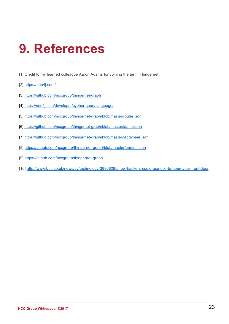## **9. References**

- [1] Credit to my learned colleague Aaron Adams for coining the term 'Thingernet'
- [2] https://neo4j.com/
- [3] https://github.com/nccgroup/thingernet-graph
- [4] https://neo4j.com/developer/cypher-query-language/
- [5] https://github.com/nccgroup/thingernet-graph/blob/master/router.json
- [6] https://github.com/nccgroup/thingernet-graph/blob/master/laptop.json
- [7] https://github.com/nccgroup/thingernet-graph/blob/master/teddybear.json
- [8] https://github.com/nccgroup/thingernet-graph/blob/master/person.json
- [9] https://github.com/nccgroup/thingernet-graph
- [10] http://www.bbc.co.uk/news/av/technology-38966285/how-hackers-could-use-doll-to-open-your-front-door